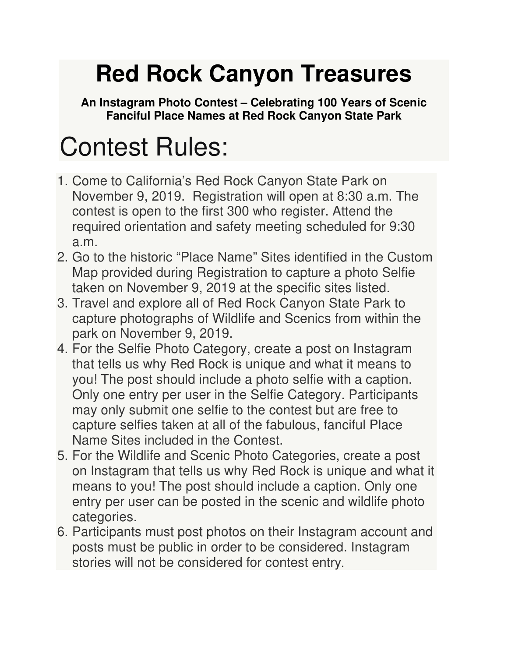## **Red Rock Canyon Treasures**

**An Instagram Photo Contest – Celebrating 100 Years of Scenic Fanciful Place Names at Red Rock Canyon State Park** 

## Contest Rules:

- 1. Come to California's Red Rock Canyon State Park on November 9, 2019. Registration will open at 8:30 a.m. The contest is open to the first 300 who register. Attend the required orientation and safety meeting scheduled for 9:30 a.m.
- 2. Go to the historic "Place Name" Sites identified in the Custom Map provided during Registration to capture a photo Selfie taken on November 9, 2019 at the specific sites listed.
- 3. Travel and explore all of Red Rock Canyon State Park to capture photographs of Wildlife and Scenics from within the park on November 9, 2019.
- 4. For the Selfie Photo Category, create a post on Instagram that tells us why Red Rock is unique and what it means to you! The post should include a photo selfie with a caption. Only one entry per user in the Selfie Category. Participants may only submit one selfie to the contest but are free to capture selfies taken at all of the fabulous, fanciful Place Name Sites included in the Contest.
- 5. For the Wildlife and Scenic Photo Categories, create a post on Instagram that tells us why Red Rock is unique and what it means to you! The post should include a caption. Only one entry per user can be posted in the scenic and wildlife photo categories.
- 6. Participants must post photos on their Instagram account and posts must be public in order to be considered. Instagram stories will not be considered for contest entry.